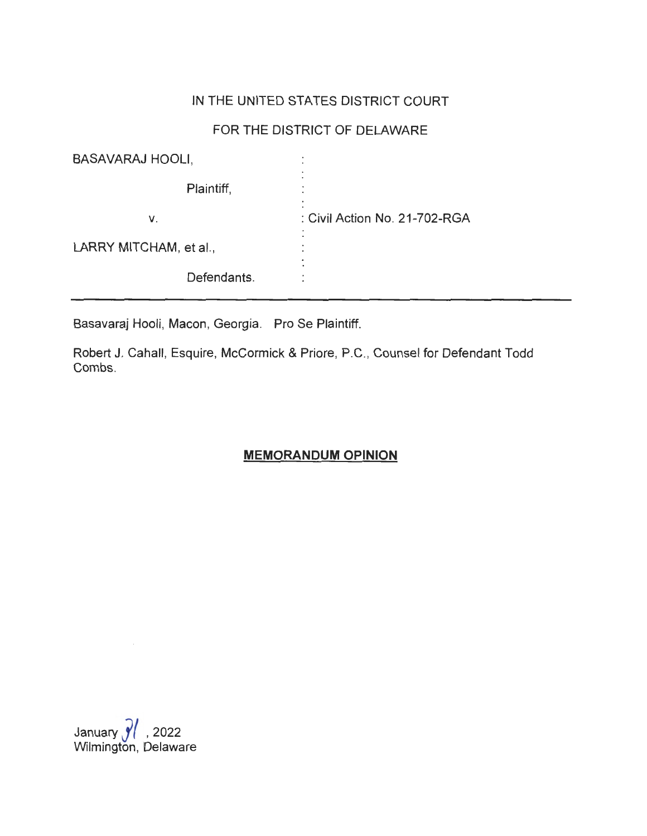### IN THE UNITED STATES DISTRICT COURT

## FOR THE DISTRICT OF DELAWARE

| <b>BASAVARAJ HOOLI,</b> | $\bullet$<br>$\cdot$          |
|-------------------------|-------------------------------|
| Plaintiff,              |                               |
| ۷.                      | : Civil Action No. 21-702-RGA |
| LARRY MITCHAM, et al.,  | ٠                             |
| Defendants.             |                               |

Basavaraj Hooli, Macon, Georgia. Pro Se Plaintiff.

Robert J. Cahall, Esquire, McCormick & Priore, P.C. , Counsel for Defendant Todd Combs.

# **MEMORANDUM OPINION**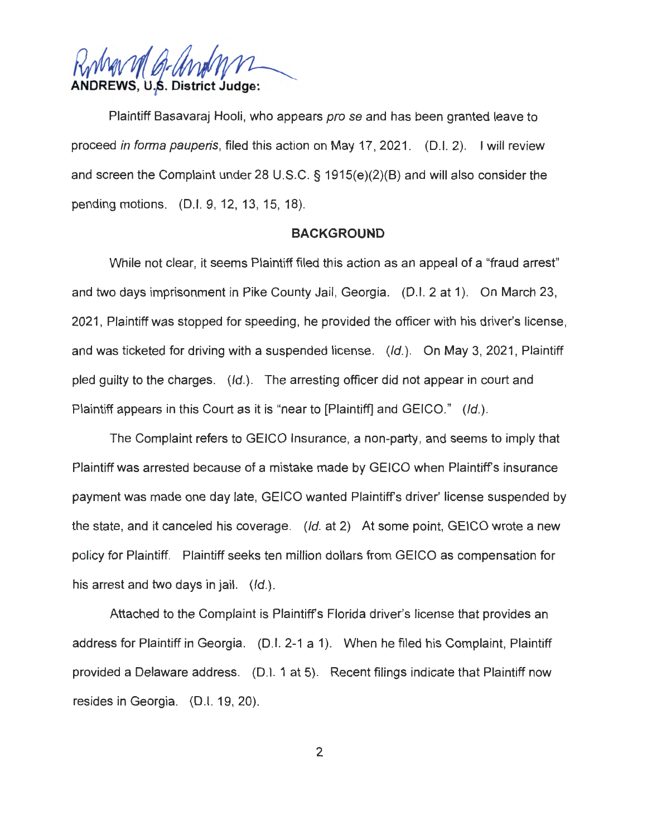**WWW D-UNWNNL**<br>ANDREWS, U.S. District Judge:

Plaintiff Basavaraj Hooli, who appears pro se and has been granted leave to proceed in forma pauperis, filed this action on May 17, 2021. (D.I. 2). I will review and screen the Complaint under 28 U.S.C. § 1915(e)(2)(B) and will also consider the pending motions. (D.I. 9, 12, 13, 15, 18).

### **BACKGROUND**

While not clear, it seems Plaintiff filed this action as an appeal of a "fraud arrest" and two days imprisonment in Pike County Jail, Georgia. (D.I. 2 at 1). On March 23, 2021 , Plaintiff was stopped for speeding, he provided the officer with his driver's license, and was ticketed for driving with a suspended license. (Id.). On May 3, 2021, Plaintiff pled guilty to the charges. (Id.). The arresting officer did not appear in court and Plaintiff appears in this Court as it is "near to [Plaintiff] and GEICO." (Id.).

The Complaint refers to GEICO Insurance, a non-party, and seems to imply that Plaintiff was arrested because of a mistake made by GEICO when Plaintiff's insurance payment was made one day late, GEICO wanted Plaintiff's driver' license suspended by the state, and it canceled his coverage. (Id. at 2) At some point, GEICO wrote a new policy for Plaintiff. Plaintiff seeks ten million dollars from GEICO as compensation for his arrest and two days in jail.  $(|d|)$ .

Attached to the Complaint is Plaintiff's Florida driver's license that provides an address for Plaintiff in Georgia. (D.I. 2-1 a 1). When he filed his Complaint, Plaintiff provided a Delaware address. (D.I. 1 at 5). Recent filings indicate that Plaintiff now resides in Georgia. (D.I. 19, 20).

2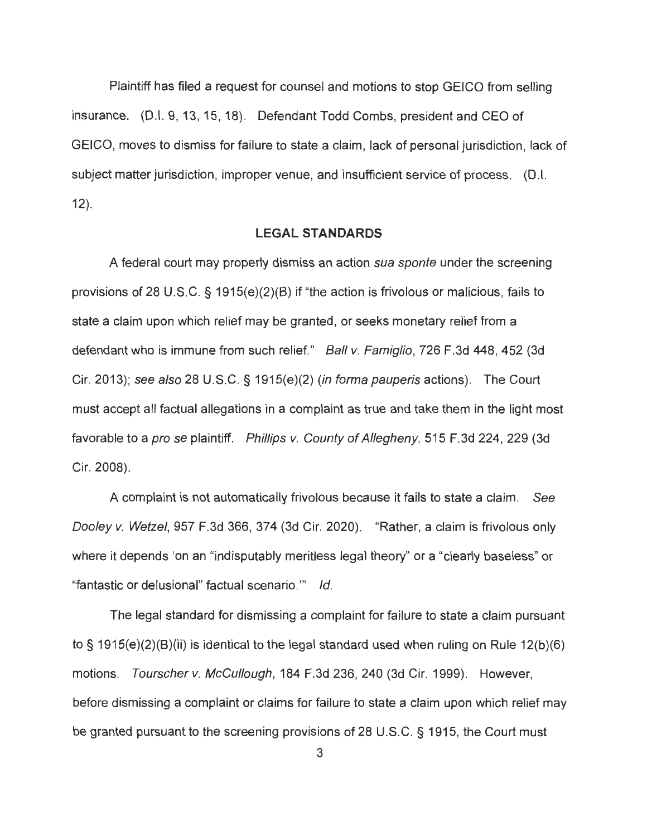Plaintiff has filed a request for counsel and motions to stop GEICO from selling insurance. (D.I. 9, 13, 15, 18). Defendant Todd Combs, president and CEO of GEICO, moves to dismiss for failure to state a claim , lack of personal jurisdiction, lack of subject matter jurisdiction, improper venue, and insufficient service of process. (D.I. 12).

### **LEGAL STANDARDS**

A federal court may properly dismiss an action sua sponte under the screening provisions of 28 U.S.C. § 1915(e)(2)(B) if "the action is frivolous or malicious, fails to state a claim upon which relief may be granted, or seeks monetary relief from a defendant who is immune from such relief." Ball v. Famiglio, 726 F.3d 448, 452 (3d Cir. 2013); see also 28 U.S.C. § 1915(e)(2) (in forma pauperis actions). The Court must accept all factual allegations in a complaint as true and take them in the light most favorable to a *pro se* plaintiff. Phillips v. County of Allegheny, 515 F.3d 224, 229 (3d Cir. 2008).

A complaint is not automatically frivolous because it fails to state a claim. See Dooley v. Wetzel, 957 F.3d 366, 374 (3d Cir. 2020). "Rather, a claim is frivolous only where it depends 'on an "indisputably meritless legal theory" or a "clearly baseless" or "fantastic or delusional" factual scenario."' Id.

The legal standard for dismissing a complaint for failure to state a claim pursuant to§ 1915(e)(2)(B)(ii) is identical to the legal standard used when ruling on Rule 12(b)(6) motions. Tourscher v. McCullough, 184 F.3d 236, 240 (3d Cir. 1999). However, before dismissing a complaint or claims for failure to state a claim upon which relief may be granted pursuant to the screening provisions of 28 U.S.C. § 1915, the Court must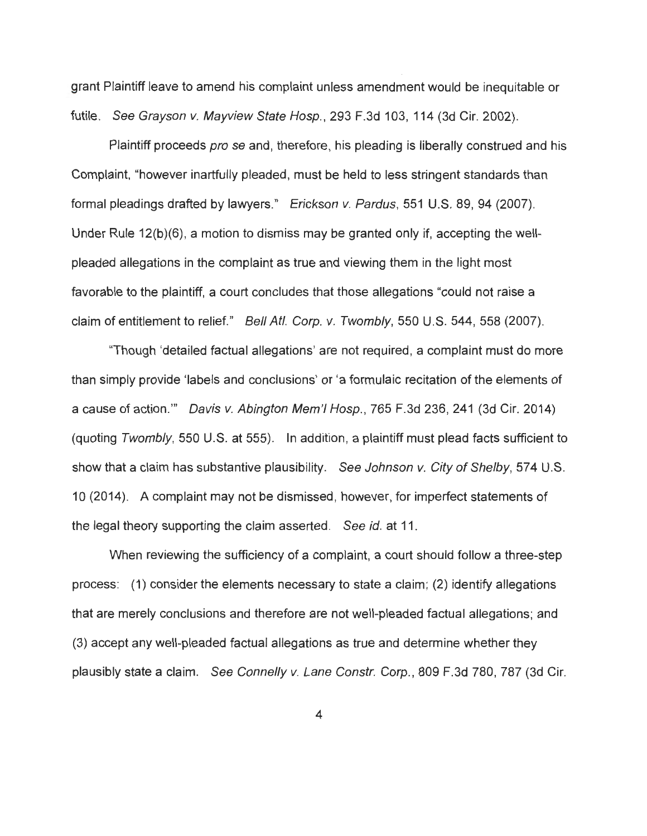grant Plaintiff leave to amend his complaint unless amendment would be inequitable or futile. See Grayson v. Mayview State Hosp., 293 F.3d 103, 114 (3d Cir. 2002).

Plaintiff proceeds *pro se* and, therefore, his pleading is liberally construed and his Complaint, "however inartfully pleaded, must be held to less stringent standards than formal pleadings drafted by lawyers." Erickson v. Pardus, 551 U.S. 89, 94 (2007). Under Rule 12(b)(6), a motion to dismiss may be granted only if, accepting the wellpleaded allegations in the complaint as true and viewing them in the light most favorable to the plaintiff, a court concludes that those allegations "could not raise a claim of entitlement to relief." Bell Atl. Corp. v. Twombly, 550 U.S. 544, 558 (2007).

"Though 'detailed factual allegations' are not required , a complaint must do more than simply provide 'labels and conclusions' or 'a formulaic recitation of the elements of a cause of action."' Davis v. Abington Mem'I Hosp., 765 F.3d 236, 241 (3d Cir. 2014) (quoting Twombly, 550 U.S. at 555). In addition, a plaintiff must plead facts sufficient to show that a claim has substantive plausibility. See Johnson v. City of Shelby, 574 U.S. 10 (2014). A complaint may not be dismissed, however, for imperfect statements of the legal theory supporting the claim asserted. See id. at 11.

When reviewing the sufficiency of a complaint, a court should follow a three-step process: (1) consider the elements necessary to state a claim; (2) identify allegations that are merely conclusions and therefore are not well-pleaded factual allegations; and (3) accept any well-pleaded factual allegations as true and determine whether they plausibly state a claim. See Connelly v. Lane Constr. Corp., 809 F.3d 780, 787 (3d Cir.

4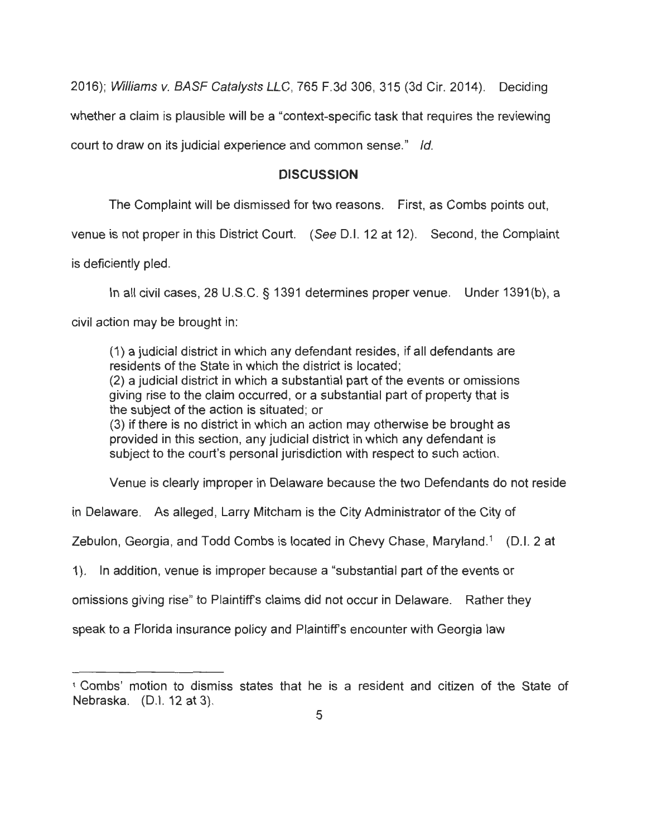2016); Williams v. BASF Catalysts LLC, 765 F.3d 306, 315 (3d Cir. 2014). Deciding whether a claim is plausible will be a "context-specific task that requires the reviewing court to draw on its judicial experience and common sense." Id.

### **DISCUSSION**

The Complaint will be dismissed for two reasons. First, as Combs points out,

venue is not proper in this District Court. (See 0 .1. 12 at 12). Second , the Complaint

is deficiently pied.

In all civil cases, 28 U.S.C. § 1391 determines proper venue. Under 1391(b), a

civil action may be brought in:

(1) a judicial district in which any defendant resides, if all defendants are residents of the State in which the district is located; (2) a judicial district in which a substantial part of the events or omissions giving rise to the claim occurred, or a substantial part of property that is the subject of the action is situated; or (3) if there is no district in which an action may otherwise be brought as provided in this section, any judicial district in which any defendant is subject to the court's personal jurisdiction with respect to such action.

Venue is clearly improper in Delaware because the two Defendants do not reside

in Delaware. As alleged , Larry Mitcham is the City Administrator of the City of

Zebulon, Georgia, and Todd Combs is located in Chevy Chase, Maryland.<sup>1</sup> (D.I. 2 at

1). In addition, venue is improper because a "substantial part of the events or

omissions giving rise" to Plaintiff's claims did not occur in Delaware. Rather they

speak to a Florida insurance policy and Plaintiff's encounter with Georgia law

<sup>1</sup>Combs' motion to dismiss states that he is a resident and citizen of the State of Nebraska. (D.I. 12 at 3).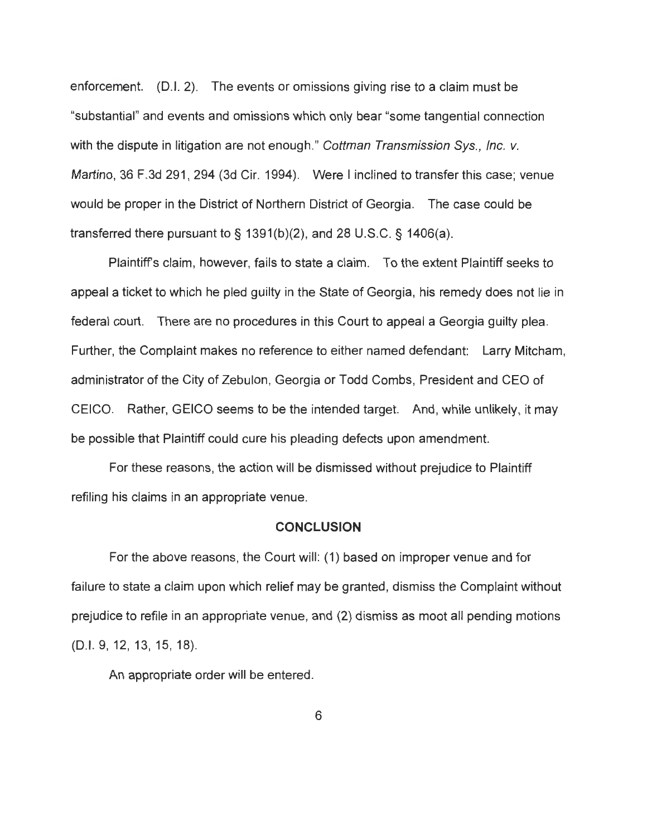enforcement. (0.1. 2). The events or omissions giving rise to a claim must be "substantial" and events and omissions which only bear "some tangential connection with the dispute in litigation are not enough." Cottman Transmission Sys., Inc. v. Martino, 36 F.3d 291, 294 (3d Cir. 1994). Were I inclined to transfer this case; venue would be proper in the District of Northern District of Georgia. The case could be transferred there pursuant to  $\frac{6}{5}$  1391(b)(2), and 28 U.S.C.  $\frac{6}{5}$  1406(a).

Plaintiffs claim, however, fails to state a claim. To the extent Plaintiff seeks to appeal a ticket to which he pied guilty in the State of Georgia, his remedy does not lie in federal court. There are no procedures in this Court to appeal a Georgia guilty plea. Further, the Complaint makes no reference to either named defendant: Larry Mitcham, administrator of the City of Zebulon, Georgia or Todd Combs, President and CEO of GEICO. Rather, GEICO seems to be the intended target. And , while unlikely, it may be possible that Plaintiff could cure his pleading defects upon amendment.

For these reasons, the action will be dismissed without prejudice to Plaintiff refiling his claims in an appropriate venue.

#### **CONCLUSION**

For the above reasons, the Court will: (1) based on improper venue and for failure to state a claim upon which relief may be granted, dismiss the Complaint without prejudice to refile in an appropriate venue, and (2) dismiss as moot all pending motions (0.1. 9, 12, 13, 15, 18).

An appropriate order will be entered.